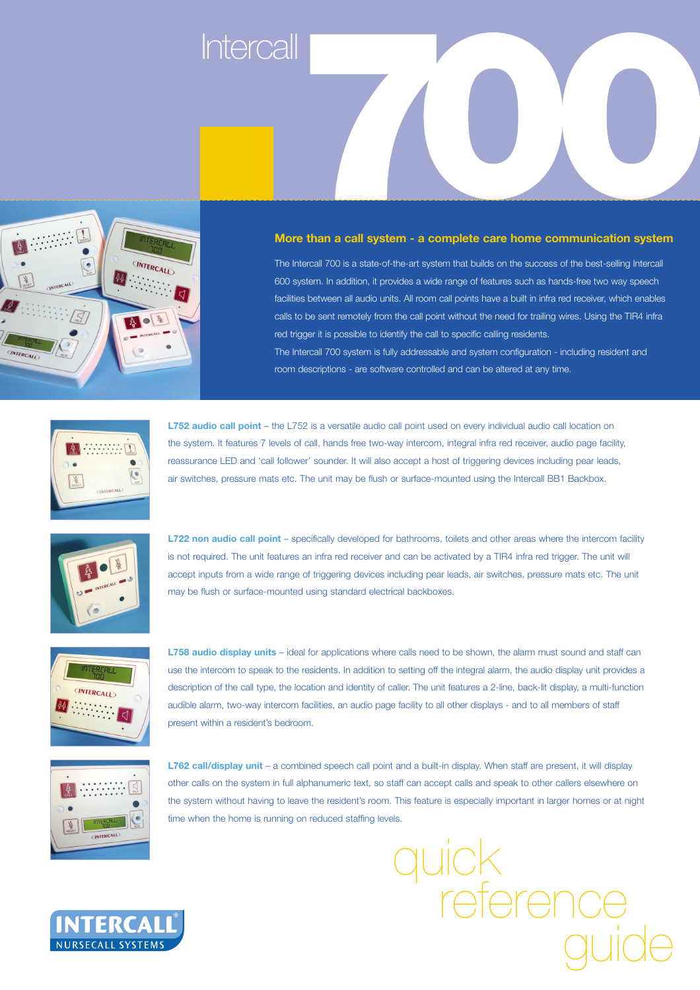## **Intercall**



## **More than a call system - a complete care home communication system**

The Intercall 700 is a state-of-the-art system that builds on the success of the best-selling Intercall 600 system. In addition, it provides a wide range of features such as hands-free two way speech facilities between all audio units. All room call points have a built in infra red receiver, which enables calls to be sent remotely from the call point without the need for trailing wires. Using the TIR4 infra red trigger it is possible to identify the call to specific calling residents. The Intercall 700 system is fully addressable and system configuration - including resident and



**L752 audio call point** – the L752 is a versatile audio call point used on every individual audio call location on the system. It features 7 levels of call, hands free two-way intercom, integral infra red receiver, audio page facility, reassurance LED and 'call follower' sounder. It will also accept a host of triggering devices including pear leads, air switches, pressure mats etc. The unit may be flush or surface-mounted using the Intercall BB1 Backbox.

room descriptions - are software controlled and can be altered at any time.



**L722 non audio call point** – specifically developed for bathrooms, toilets and other areas where the intercom facility is not required. The unit features an infra red receiver and can be activated by a TIR4 infra red trigger. The unit will accept inputs from a wide range of triggering devices including pear leads, air switches, pressure mats etc. The unit may be flush or surface-mounted using standard electrical backboxes.



**L758 audio display units** – ideal for applications where calls need to be shown, the alarm must sound and staff can use the intercom to speak to the residents. In addition to setting off the integral alarm, the audio display unit provides a description of the call type, the location and identity of caller. The unit features a 2-line, back-lit display, a multi-function audible alarm, two-way intercom facilities, an audio page facility to all other displays - and to all members of staff present within a resident's bedroom.



**L762 call/display unit** – a combined speech call point and a built-in display. When staff are present, it will display other calls on the system in full alphanumeric text, so staff can accept calls and speak to other callers elsewhere on the system without having to leave the resident's room. This feature is especially important in larger homes or at night time when the home is running on reduced staffing levels.



quick reference guide